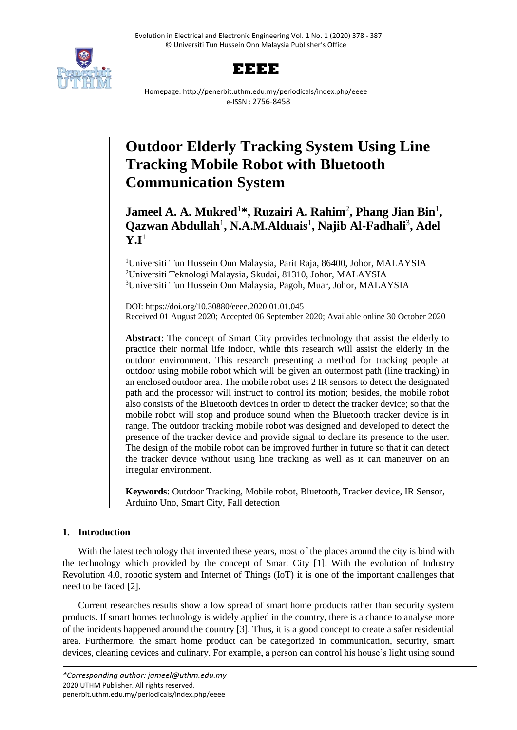



Homepage: http://penerbit.uthm.edu.my/periodicals/index.php/eeee e-ISSN : 2756-8458

# **Outdoor Elderly Tracking System Using Line Tracking Mobile Robot with Bluetooth Communication System**

**Jameel A. A. Mukred**<sup>1</sup>**\*, Ruzairi A. Rahim**<sup>2</sup> **, Phang Jian Bin**<sup>1</sup> **, Qazwan Abdullah**<sup>1</sup> **, N.A.M.Alduais**<sup>1</sup> **, Najib Al-Fadhali**<sup>3</sup> **, Adel**   $Y.I<sup>1</sup>$ 

<sup>1</sup>Universiti Tun Hussein Onn Malaysia, Parit Raja, 86400, Johor, MALAYSIA <sup>2</sup>Universiti Teknologi Malaysia, Skudai, 81310, Johor, MALAYSIA <sup>3</sup>Universiti Tun Hussein Onn Malaysia, Pagoh, Muar, Johor, MALAYSIA

DOI: https://doi.org/10.30880/eeee.2020.01.01.045 Received 01 August 2020; Accepted 06 September 2020; Available online 30 October 2020

**Abstract**: The concept of Smart City provides technology that assist the elderly to practice their normal life indoor, while this research will assist the elderly in the outdoor environment. This research presenting a method for tracking people at outdoor using mobile robot which will be given an outermost path (line tracking) in an enclosed outdoor area. The mobile robot uses 2 IR sensors to detect the designated path and the processor will instruct to control its motion; besides, the mobile robot also consists of the Bluetooth devices in order to detect the tracker device; so that the mobile robot will stop and produce sound when the Bluetooth tracker device is in range. The outdoor tracking mobile robot was designed and developed to detect the presence of the tracker device and provide signal to declare its presence to the user. The design of the mobile robot can be improved further in future so that it can detect the tracker device without using line tracking as well as it can maneuver on an irregular environment.

**Keywords**: Outdoor Tracking, Mobile robot, Bluetooth, Tracker device, IR Sensor, Arduino Uno, Smart City, Fall detection

# **1. Introduction**

With the latest technology that invented these years, most of the places around the city is bind with the technology which provided by the concept of Smart City [1]. With the evolution of Industry Revolution 4.0, robotic system and Internet of Things (IoT) it is one of the important challenges that need to be faced [2].

Current researches results show a low spread of smart home products rather than security system products. If smart homes technology is widely applied in the country, there is a chance to analyse more of the incidents happened around the country [3]. Thus, it is a good concept to create a safer residential area. Furthermore, the smart home product can be categorized in communication, security, smart devices, cleaning devices and culinary. For example, a person can control his house's light using sound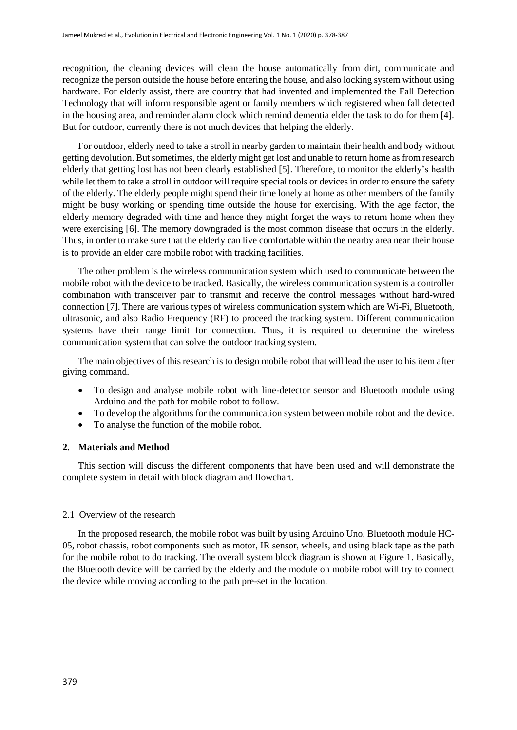recognition, the cleaning devices will clean the house automatically from dirt, communicate and recognize the person outside the house before entering the house, and also locking system without using hardware. For elderly assist, there are country that had invented and implemented the Fall Detection Technology that will inform responsible agent or family members which registered when fall detected in the housing area, and reminder alarm clock which remind dementia elder the task to do for them [4]. But for outdoor, currently there is not much devices that helping the elderly.

For outdoor, elderly need to take a stroll in nearby garden to maintain their health and body without getting devolution. But sometimes, the elderly might get lost and unable to return home as from research elderly that getting lost has not been clearly established [5]. Therefore, to monitor the elderly's health while let them to take a stroll in outdoor will require special tools or devices in order to ensure the safety of the elderly. The elderly people might spend their time lonely at home as other members of the family might be busy working or spending time outside the house for exercising. With the age factor, the elderly memory degraded with time and hence they might forget the ways to return home when they were exercising [6]. The memory downgraded is the most common disease that occurs in the elderly. Thus, in order to make sure that the elderly can live comfortable within the nearby area near their house is to provide an elder care mobile robot with tracking facilities.

The other problem is the wireless communication system which used to communicate between the mobile robot with the device to be tracked. Basically, the wireless communication system is a controller combination with transceiver pair to transmit and receive the control messages without hard-wired connection [7]. There are various types of wireless communication system which are Wi-Fi, Bluetooth, ultrasonic, and also Radio Frequency (RF) to proceed the tracking system. Different communication systems have their range limit for connection. Thus, it is required to determine the wireless communication system that can solve the outdoor tracking system.

The main objectives of this research is to design mobile robot that will lead the user to his item after giving command.

- To design and analyse mobile robot with line-detector sensor and Bluetooth module using Arduino and the path for mobile robot to follow.
- To develop the algorithms for the communication system between mobile robot and the device.
- To analyse the function of the mobile robot.

#### **2. Materials and Method**

This section will discuss the different components that have been used and will demonstrate the complete system in detail with block diagram and flowchart.

#### 2.1 Overview of the research

In the proposed research, the mobile robot was built by using Arduino Uno, Bluetooth module HC-05, robot chassis, robot components such as motor, IR sensor, wheels, and using black tape as the path for the mobile robot to do tracking. The overall system block diagram is shown at Figure 1. Basically, the Bluetooth device will be carried by the elderly and the module on mobile robot will try to connect the device while moving according to the path pre-set in the location.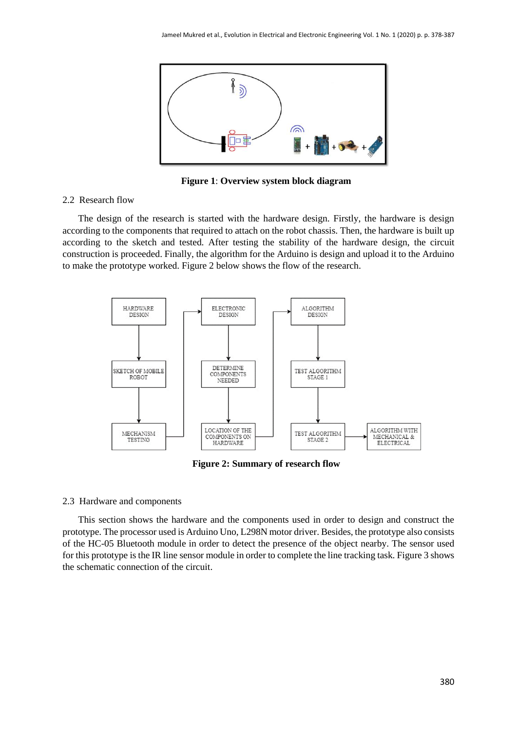

**Figure 1**: **Overview system block diagram**

#### 2.2 Research flow

The design of the research is started with the hardware design. Firstly, the hardware is design according to the components that required to attach on the robot chassis. Then, the hardware is built up according to the sketch and tested. After testing the stability of the hardware design, the circuit construction is proceeded. Finally, the algorithm for the Arduino is design and upload it to the Arduino to make the prototype worked. Figure 2 below shows the flow of the research.



**Figure 2: Summary of research flow**

#### 2.3 Hardware and components

This section shows the hardware and the components used in order to design and construct the prototype. The processor used is Arduino Uno, L298N motor driver. Besides, the prototype also consists of the HC-05 Bluetooth module in order to detect the presence of the object nearby. The sensor used for this prototype is the IR line sensor module in order to complete the line tracking task. Figure 3 shows the schematic connection of the circuit.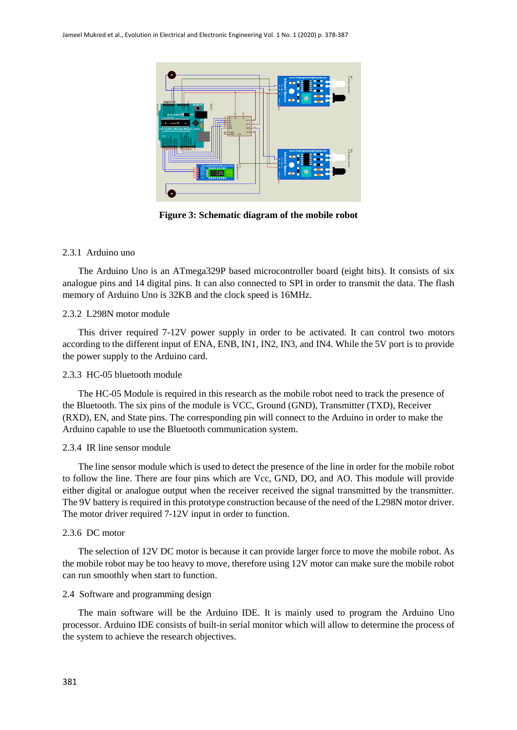

**Figure 3: Schematic diagram of the mobile robot**

# 2.3.1 Arduino uno

The Arduino Uno is an ATmega329P based microcontroller board (eight bits). It consists of six analogue pins and 14 digital pins. It can also connected to SPI in order to transmit the data. The flash memory of Arduino Uno is 32KB and the clock speed is 16MHz.

# 2.3.2 L298N motor module

This driver required 7-12V power supply in order to be activated. It can control two motors according to the different input of ENA, ENB, IN1, IN2, IN3, and IN4. While the 5V port is to provide the power supply to the Arduino card.

# 2.3.3 HC-05 bluetooth module

The HC-05 Module is required in this research as the mobile robot need to track the presence of the Bluetooth. The six pins of the module is VCC, Ground (GND), Transmitter (TXD), Receiver (RXD), EN, and State pins. The corresponding pin will connect to the Arduino in order to make the Arduino capable to use the Bluetooth communication system.

#### 2.3.4 IR line sensor module

The line sensor module which is used to detect the presence of the line in order for the mobile robot to follow the line. There are four pins which are Vcc, GND, DO, and AO. This module will provide either digital or analogue output when the receiver received the signal transmitted by the transmitter. The 9V battery is required in this prototype construction because of the need of the L298N motor driver. The motor driver required 7-12V input in order to function.

#### 2.3.6 DC motor

The selection of 12V DC motor is because it can provide larger force to move the mobile robot. As the mobile robot may be too heavy to move, therefore using 12V motor can make sure the mobile robot can run smoothly when start to function.

# 2.4 Software and programming design

The main software will be the Arduino IDE. It is mainly used to program the Arduino Uno processor. Arduino IDE consists of built-in serial monitor which will allow to determine the process of the system to achieve the research objectives.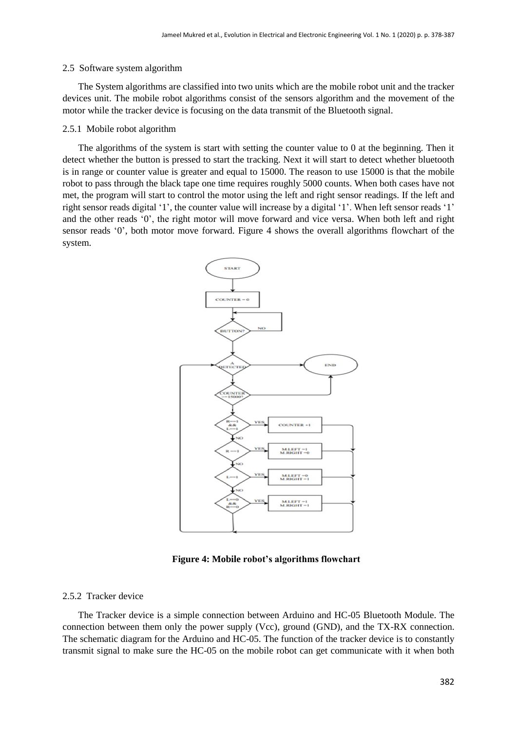#### 2.5 Software system algorithm

The System algorithms are classified into two units which are the mobile robot unit and the tracker devices unit. The mobile robot algorithms consist of the sensors algorithm and the movement of the motor while the tracker device is focusing on the data transmit of the Bluetooth signal.

#### 2.5.1 Mobile robot algorithm

The algorithms of the system is start with setting the counter value to 0 at the beginning. Then it detect whether the button is pressed to start the tracking. Next it will start to detect whether bluetooth is in range or counter value is greater and equal to 15000. The reason to use 15000 is that the mobile robot to pass through the black tape one time requires roughly 5000 counts. When both cases have not met, the program will start to control the motor using the left and right sensor readings. If the left and right sensor reads digital '1', the counter value will increase by a digital '1'. When left sensor reads '1' and the other reads '0', the right motor will move forward and vice versa. When both left and right sensor reads '0', both motor move forward. Figure 4 shows the overall algorithms flowchart of the system.



**Figure 4: Mobile robot's algorithms flowchart**

#### 2.5.2 Tracker device

The Tracker device is a simple connection between Arduino and HC-05 Bluetooth Module. The connection between them only the power supply (Vcc), ground (GND), and the TX-RX connection. The schematic diagram for the Arduino and HC-05. The function of the tracker device is to constantly transmit signal to make sure the HC-05 on the mobile robot can get communicate with it when both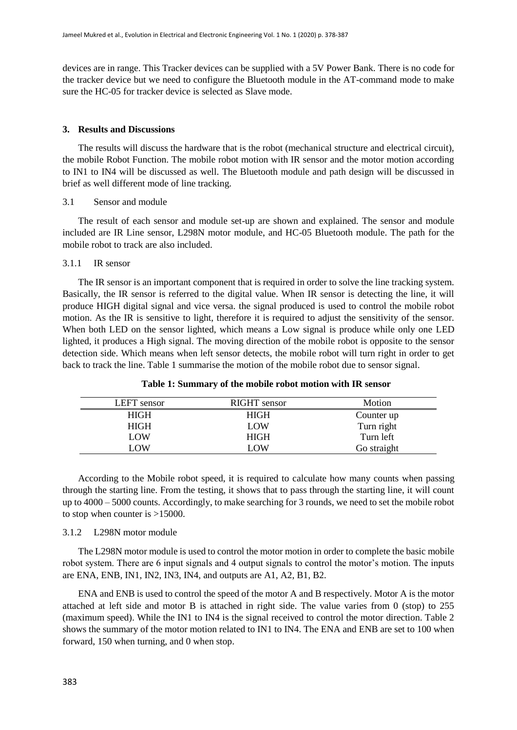devices are in range. This Tracker devices can be supplied with a 5V Power Bank. There is no code for the tracker device but we need to configure the Bluetooth module in the AT-command mode to make sure the HC-05 for tracker device is selected as Slave mode.

# **3. Results and Discussions**

The results will discuss the hardware that is the robot (mechanical structure and electrical circuit), the mobile Robot Function. The mobile robot motion with IR sensor and the motor motion according to IN1 to IN4 will be discussed as well. The Bluetooth module and path design will be discussed in brief as well different mode of line tracking.

#### 3.1 Sensor and module

The result of each sensor and module set-up are shown and explained. The sensor and module included are IR Line sensor, L298N motor module, and HC-05 Bluetooth module. The path for the mobile robot to track are also included.

# 3.1.1 IR sensor

The IR sensor is an important component that is required in order to solve the line tracking system. Basically, the IR sensor is referred to the digital value. When IR sensor is detecting the line, it will produce HIGH digital signal and vice versa. the signal produced is used to control the mobile robot motion. As the IR is sensitive to light, therefore it is required to adjust the sensitivity of the sensor. When both LED on the sensor lighted, which means a Low signal is produce while only one LED lighted, it produces a High signal. The moving direction of the mobile robot is opposite to the sensor detection side. Which means when left sensor detects, the mobile robot will turn right in order to get back to track the line. Table 1 summarise the motion of the mobile robot due to sensor signal.

| LEFT sensor | RIGHT sensor | Motion      |
|-------------|--------------|-------------|
| <b>HIGH</b> | <b>HIGH</b>  | Counter up  |
| HIGH        | <b>LOW</b>   | Turn right  |
| LOW         | <b>HIGH</b>  | Turn left   |
| LOW.        | LOW          | Go straight |

**Table 1: Summary of the mobile robot motion with IR sensor**

According to the Mobile robot speed, it is required to calculate how many counts when passing through the starting line. From the testing, it shows that to pass through the starting line, it will count up to 4000 – 5000 counts. Accordingly, to make searching for 3 rounds, we need to set the mobile robot to stop when counter is >15000.

#### 3.1.2 L298N motor module

The L298N motor module is used to control the motor motion in order to complete the basic mobile robot system. There are 6 input signals and 4 output signals to control the motor's motion. The inputs are ENA, ENB, IN1, IN2, IN3, IN4, and outputs are A1, A2, B1, B2.

ENA and ENB is used to control the speed of the motor A and B respectively. Motor A is the motor attached at left side and motor B is attached in right side. The value varies from 0 (stop) to 255 (maximum speed). While the IN1 to IN4 is the signal received to control the motor direction. Table 2 shows the summary of the motor motion related to IN1 to IN4. The ENA and ENB are set to 100 when forward, 150 when turning, and 0 when stop.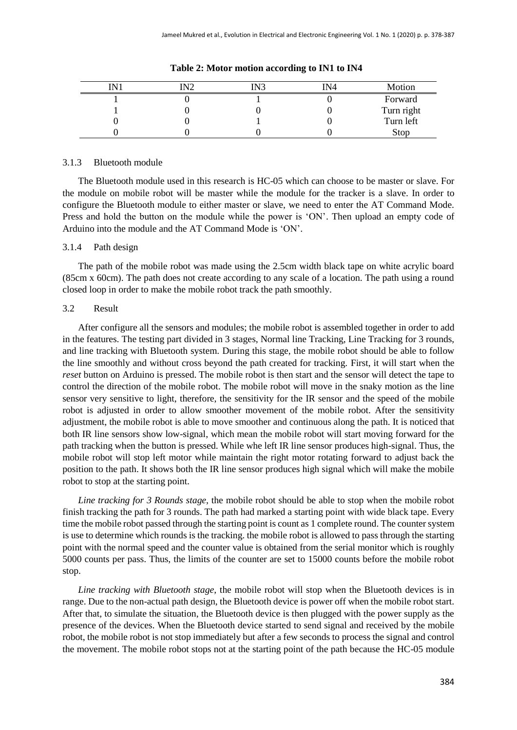| IN? | IN3 | IN4 | Motion                  |
|-----|-----|-----|-------------------------|
|     |     |     | Forward                 |
|     |     |     | Turn right<br>Turn left |
|     |     |     |                         |
|     |     |     | Stop                    |

**Table 2: Motor motion according to IN1 to IN4**

#### 3.1.3 Bluetooth module

The Bluetooth module used in this research is HC-05 which can choose to be master or slave. For the module on mobile robot will be master while the module for the tracker is a slave. In order to configure the Bluetooth module to either master or slave, we need to enter the AT Command Mode. Press and hold the button on the module while the power is 'ON'. Then upload an empty code of Arduino into the module and the AT Command Mode is 'ON'.

#### 3.1.4 Path design

The path of the mobile robot was made using the 2.5cm width black tape on white acrylic board (85cm x 60cm). The path does not create according to any scale of a location. The path using a round closed loop in order to make the mobile robot track the path smoothly.

#### 3.2 Result

After configure all the sensors and modules; the mobile robot is assembled together in order to add in the features. The testing part divided in 3 stages, Normal line Tracking, Line Tracking for 3 rounds, and line tracking with Bluetooth system. During this stage, the mobile robot should be able to follow the line smoothly and without cross beyond the path created for tracking. First, it will start when the *reset* button on Arduino is pressed. The mobile robot is then start and the sensor will detect the tape to control the direction of the mobile robot. The mobile robot will move in the snaky motion as the line sensor very sensitive to light, therefore, the sensitivity for the IR sensor and the speed of the mobile robot is adjusted in order to allow smoother movement of the mobile robot. After the sensitivity adjustment, the mobile robot is able to move smoother and continuous along the path. It is noticed that both IR line sensors show low-signal, which mean the mobile robot will start moving forward for the path tracking when the button is pressed. While whe left IR line sensor produces high-signal. Thus, the mobile robot will stop left motor while maintain the right motor rotating forward to adjust back the position to the path. It shows both the IR line sensor produces high signal which will make the mobile robot to stop at the starting point.

*Line tracking for 3 Rounds stage*, the mobile robot should be able to stop when the mobile robot finish tracking the path for 3 rounds. The path had marked a starting point with wide black tape. Every time the mobile robot passed through the starting point is count as 1 complete round. The counter system is use to determine which rounds is the tracking. the mobile robot is allowed to pass through the starting point with the normal speed and the counter value is obtained from the serial monitor which is roughly 5000 counts per pass. Thus, the limits of the counter are set to 15000 counts before the mobile robot stop.

*Line tracking with Bluetooth stage*, the mobile robot will stop when the Bluetooth devices is in range. Due to the non-actual path design, the Bluetooth device is power off when the mobile robot start. After that, to simulate the situation, the Bluetooth device is then plugged with the power supply as the presence of the devices. When the Bluetooth device started to send signal and received by the mobile robot, the mobile robot is not stop immediately but after a few seconds to process the signal and control the movement. The mobile robot stops not at the starting point of the path because the HC-05 module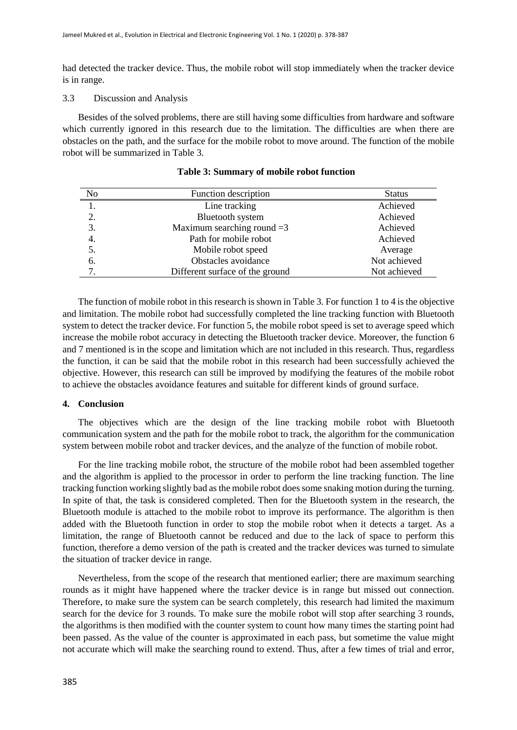had detected the tracker device. Thus, the mobile robot will stop immediately when the tracker device is in range.

#### 3.3 Discussion and Analysis

Besides of the solved problems, there are still having some difficulties from hardware and software which currently ignored in this research due to the limitation. The difficulties are when there are obstacles on the path, and the surface for the mobile robot to move around. The function of the mobile robot will be summarized in Table 3.

| No | Function description            | <b>Status</b> |
|----|---------------------------------|---------------|
|    | Line tracking                   | Achieved      |
| 2. | Bluetooth system                | Achieved      |
| 3. | Maximum searching round $=3$    | Achieved      |
| 4. | Path for mobile robot           | Achieved      |
| 5. | Mobile robot speed              | Average       |
| 6. | Obstacles avoidance             | Not achieved  |
|    | Different surface of the ground | Not achieved  |

**Table 3: Summary of mobile robot function**

The function of mobile robot in this research is shown in Table 3. For function 1 to 4 is the objective and limitation. The mobile robot had successfully completed the line tracking function with Bluetooth system to detect the tracker device. For function 5, the mobile robot speed is set to average speed which increase the mobile robot accuracy in detecting the Bluetooth tracker device. Moreover, the function 6 and 7 mentioned is in the scope and limitation which are not included in this research. Thus, regardless the function, it can be said that the mobile robot in this research had been successfully achieved the objective. However, this research can still be improved by modifying the features of the mobile robot to achieve the obstacles avoidance features and suitable for different kinds of ground surface.

#### **4. Conclusion**

The objectives which are the design of the line tracking mobile robot with Bluetooth communication system and the path for the mobile robot to track, the algorithm for the communication system between mobile robot and tracker devices, and the analyze of the function of mobile robot.

For the line tracking mobile robot, the structure of the mobile robot had been assembled together and the algorithm is applied to the processor in order to perform the line tracking function. The line tracking function working slightly bad as the mobile robot does some snaking motion during the turning. In spite of that, the task is considered completed. Then for the Bluetooth system in the research, the Bluetooth module is attached to the mobile robot to improve its performance. The algorithm is then added with the Bluetooth function in order to stop the mobile robot when it detects a target. As a limitation, the range of Bluetooth cannot be reduced and due to the lack of space to perform this function, therefore a demo version of the path is created and the tracker devices was turned to simulate the situation of tracker device in range.

Nevertheless, from the scope of the research that mentioned earlier; there are maximum searching rounds as it might have happened where the tracker device is in range but missed out connection. Therefore, to make sure the system can be search completely, this research had limited the maximum search for the device for 3 rounds. To make sure the mobile robot will stop after searching 3 rounds, the algorithms is then modified with the counter system to count how many times the starting point had been passed. As the value of the counter is approximated in each pass, but sometime the value might not accurate which will make the searching round to extend. Thus, after a few times of trial and error,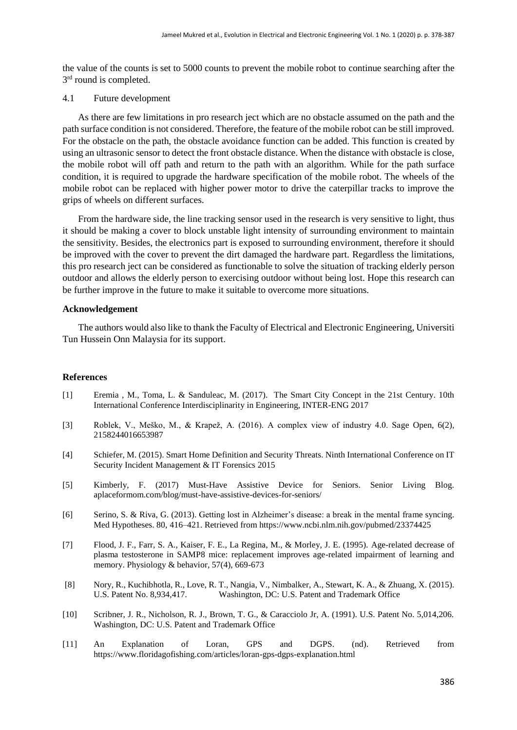the value of the counts is set to 5000 counts to prevent the mobile robot to continue searching after the 3<sup>rd</sup> round is completed.

#### 4.1 Future development

As there are few limitations in pro research ject which are no obstacle assumed on the path and the path surface condition is not considered. Therefore, the feature of the mobile robot can be still improved. For the obstacle on the path, the obstacle avoidance function can be added. This function is created by using an ultrasonic sensor to detect the front obstacle distance. When the distance with obstacle is close, the mobile robot will off path and return to the path with an algorithm. While for the path surface condition, it is required to upgrade the hardware specification of the mobile robot. The wheels of the mobile robot can be replaced with higher power motor to drive the caterpillar tracks to improve the grips of wheels on different surfaces.

From the hardware side, the line tracking sensor used in the research is very sensitive to light, thus it should be making a cover to block unstable light intensity of surrounding environment to maintain the sensitivity. Besides, the electronics part is exposed to surrounding environment, therefore it should be improved with the cover to prevent the dirt damaged the hardware part. Regardless the limitations, this pro research ject can be considered as functionable to solve the situation of tracking elderly person outdoor and allows the elderly person to exercising outdoor without being lost. Hope this research can be further improve in the future to make it suitable to overcome more situations.

#### **Acknowledgement**

The authors would also like to thank the Faculty of Electrical and Electronic Engineering, Universiti Tun Hussein Onn Malaysia for its support.

#### **References**

- [1] Eremia , M., Toma, L. & Sanduleac, M. (2017). The Smart City Concept in the 21st Century. 10th International Conference Interdisciplinarity in Engineering, INTER-ENG 2017
- [3] Roblek, V., Meško, M., & Krapež, A. (2016). A complex view of industry 4.0. Sage Open, 6(2), 2158244016653987
- [4] Schiefer, M. (2015). Smart Home Definition and Security Threats. Ninth International Conference on IT Security Incident Management & IT Forensics 2015
- [5] Kimberly, F. (2017) Must-Have Assistive Device for Seniors. Senior Living Blog. aplaceformom.com/blog/must-have-assistive-devices-for-seniors/
- [6] Serino, S. & Riva, G. (2013). Getting lost in Alzheimer's disease: a break in the mental frame syncing. Med Hypotheses. 80, 416–421. Retrieved from <https://www.ncbi.nlm.nih.gov/pubmed/23374425>
- [7] Flood, J. F., Farr, S. A., Kaiser, F. E., La Regina, M., & Morley, J. E. (1995). Age-related decrease of plasma testosterone in SAMP8 mice: replacement improves age-related impairment of learning and memory. Physiology & behavior, 57(4), 669-673
- [8] Nory, R., Kuchibhotla, R., Love, R. T., Nangia, V., Nimbalker, A., Stewart, K. A., & Zhuang, X. (2015). U.S. Patent No. 8,934,417. Washington, DC: U.S. Patent and Trademark Office
- [10] Scribner, J. R., Nicholson, R. J., Brown, T. G., & Caracciolo Jr, A. (1991). U.S. Patent No. 5,014,206. Washington, DC: U.S. Patent and Trademark Office
- [11] An Explanation of Loran, GPS and DGPS. (nd). Retrieved from <https://www.floridagofishing.com/articles/loran-gps-dgps-explanation.html>